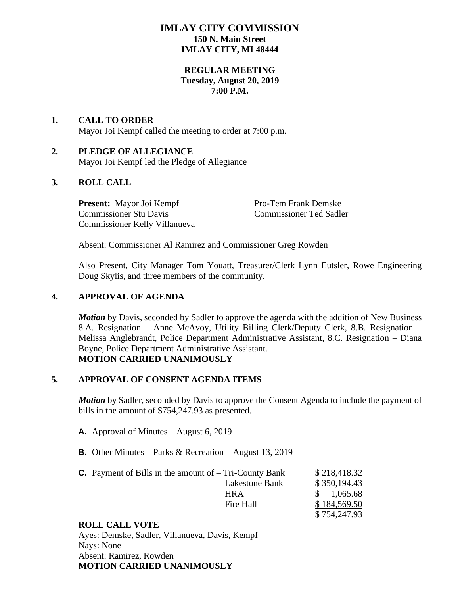# **IMLAY CITY COMMISSION 150 N. Main Street IMLAY CITY, MI 48444**

### **REGULAR MEETING Tuesday, August 20, 2019 7:00 P.M.**

### **1. CALL TO ORDER** Mayor Joi Kempf called the meeting to order at 7:00 p.m.

### **2. PLEDGE OF ALLEGIANCE** Mayor Joi Kempf led the Pledge of Allegiance

## **3. ROLL CALL**

**Present:** Mayor Joi Kempf Pro-Tem Frank Demske Commissioner Stu Davis Commissioner Ted Sadler Commissioner Kelly Villanueva

Absent: Commissioner Al Ramirez and Commissioner Greg Rowden

Also Present, City Manager Tom Youatt, Treasurer/Clerk Lynn Eutsler, Rowe Engineering Doug Skylis, and three members of the community.

## **4. APPROVAL OF AGENDA**

*Motion* by Davis, seconded by Sadler to approve the agenda with the addition of New Business 8.A. Resignation – Anne McAvoy, Utility Billing Clerk/Deputy Clerk, 8.B. Resignation – Melissa Anglebrandt, Police Department Administrative Assistant, 8.C. Resignation – Diana Boyne, Police Department Administrative Assistant. **MOTION CARRIED UNANIMOUSLY**

## **5. APPROVAL OF CONSENT AGENDA ITEMS**

*Motion* by Sadler, seconded by Davis to approve the Consent Agenda to include the payment of bills in the amount of \$754,247.93 as presented.

- **A.** Approval of Minutes August 6, 2019
- **B.** Other Minutes Parks & Recreation August 13, 2019

| <b>C.</b> Payment of Bills in the amount of $-$ Tri-County Bank |                | \$218,418.32 |
|-----------------------------------------------------------------|----------------|--------------|
|                                                                 | Lakestone Bank | \$350,194.43 |
|                                                                 | <b>HRA</b>     | \$1,065.68   |
|                                                                 | Fire Hall      | \$184,569.50 |
|                                                                 |                | \$754,247.93 |

## **ROLL CALL VOTE**

Ayes: Demske, Sadler, Villanueva, Davis, Kempf Nays: None Absent: Ramirez, Rowden **MOTION CARRIED UNANIMOUSLY**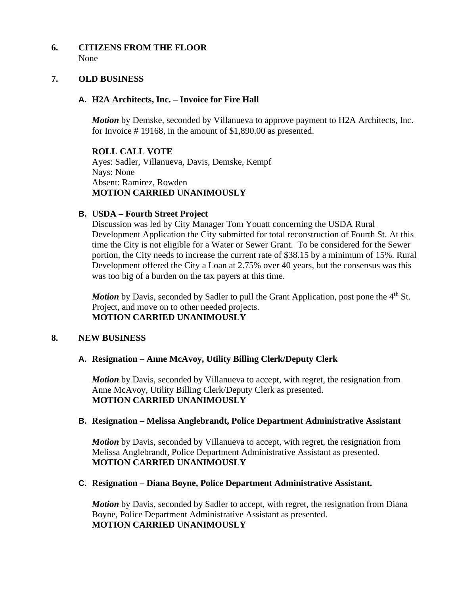### **6. CITIZENS FROM THE FLOOR** None

#### **7. OLD BUSINESS**

#### **A. H2A Architects, Inc. – Invoice for Fire Hall**

*Motion* by Demske, seconded by Villanueva to approve payment to H2A Architects, Inc. for Invoice # 19168, in the amount of \$1,890.00 as presented.

**ROLL CALL VOTE** Ayes: Sadler, Villanueva, Davis, Demske, Kempf Nays: None Absent: Ramirez, Rowden **MOTION CARRIED UNANIMOUSLY**

#### **B. USDA – Fourth Street Project**

Discussion was led by City Manager Tom Youatt concerning the USDA Rural Development Application the City submitted for total reconstruction of Fourth St. At this time the City is not eligible for a Water or Sewer Grant. To be considered for the Sewer portion, the City needs to increase the current rate of \$38.15 by a minimum of 15%. Rural Development offered the City a Loan at 2.75% over 40 years, but the consensus was this was too big of a burden on the tax payers at this time.

*Motion* by Davis, seconded by Sadler to pull the Grant Application, post pone the 4<sup>th</sup> St. Project, and move on to other needed projects. **MOTION CARRIED UNANIMOUSLY**

#### **8. NEW BUSINESS**

#### **A. Resignation – Anne McAvoy, Utility Billing Clerk/Deputy Clerk**

*Motion* by Davis, seconded by Villanueva to accept, with regret, the resignation from Anne McAvoy, Utility Billing Clerk/Deputy Clerk as presented. **MOTION CARRIED UNANIMOUSLY**

### **B. Resignation – Melissa Anglebrandt, Police Department Administrative Assistant**

*Motion* by Davis, seconded by Villanueva to accept, with regret, the resignation from Melissa Anglebrandt, Police Department Administrative Assistant as presented. **MOTION CARRIED UNANIMOUSLY**

#### **C. Resignation – Diana Boyne, Police Department Administrative Assistant.**

*Motion* by Davis, seconded by Sadler to accept, with regret, the resignation from Diana Boyne, Police Department Administrative Assistant as presented. **MOTION CARRIED UNANIMOUSLY**